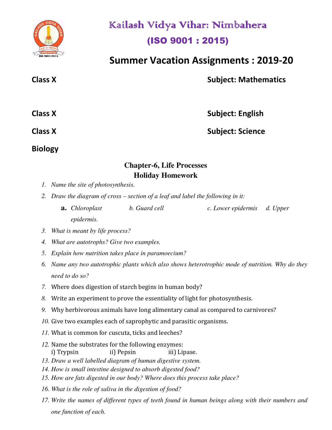

# Kailash Vidya Vihar: Nimbahera (ISO 9001 : 2015)

 **Summer Vacation Assignments : 2019-20** 

**Class X** Subject: Mathematics

| <b>Class X</b> | <b>Subject: English</b> |
|----------------|-------------------------|
| <b>Class X</b> | <b>Subject: Science</b> |

**Biology** 

### **Chapter-6, Life Processes Holiday Homework**

- *1. Name the site of photosynthesis.*
- *2. Draw the diagram of cross section of a leaf and label the following in it:* 
	- **a.** *Chloroplast b. Guard cell c. Lower epidermis d. Upper epidermis.*
- *3. What is meant by life process?*
- *4. What are autotrophs? Give two examples.*
- *5. Explain how nutrition takes place in paramoecium?*
- *6. Name any two autotrophic plants which also shows heterotrophic mode of nutrition. Why do they need to do so?*
- *7.* Where does digestion of starch begins in human body?
- *8.* Write an experiment to prove the essentiality of light for photosynthesis.
- *9.* Why herbivorous animals have long alimentary canal as compared to carnivores?
- *10.* Give two examples each of saprophytic and parasitic organisms.
- *11.* What is common for cuscuta, ticks and leeches?
- *12.* Name the substrates for the following enzymes: i) Trypsin ii) Pepsin iii) Lipase.
- *13. Draw a well labelled diagram of human digestive system.*
- *14. How is small intestine designed to absorb digested food?*
- *15. How are fats digested in our body? Where does this process take place?*
- *16. What is the role of saliva in the digestion of food?*
- *17. Write the names of different types of teeth found in human beings along with their numbers and one function of each.*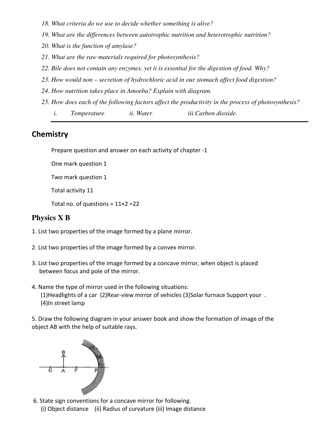- *18. What criteria do we use to decide whether something is alive?*
- *19. What are the differences between autotrophic nutrition and heterotrophic nutrition?*
- *20. What is the function of amylase?*
- *21. What are the raw materials required for photosynthesis?*
- *22. Bile does not contain any enzymes, yet it is essential for the digestion of food. Why?*
- *23. How would non secretion of hydrochloric acid in our stomach affect food digestion?*
- *24. How nutrition takes place in Amoeba? Explain with diagram.*
- *25. How does each of the following factors affect the productivity in the process of photosynthesis?* 
	- *i. Temperature ii. Water iii.Carbon dioxide.*

### **Chemistry**

Prepare question and answer on each activity of chapter -1

One mark question 1

Two mark question 1

Total activity 11

Total no. of questions =  $11 \times 2 = 22$ 

### **Physics X B**

- 1. List two properties of the image formed by a plane mirror.
- 2. List two properties of the image formed by a convex mirror.
- 3. List two properties of the image formed by a concave mirror, when object is placed between focus and pole of the mirror.
- 4. Name the type of mirror used in the following situations: (1)Headlights of a car (2)Rear-view mirror of vehicles (3)Solar furnace Support your . (4)In street lamp

5. Draw the following diagram in your answer book and show the formation of image of the object AB with the help of suitable rays.



 6. State sign conventions for a concave mirror for following. (i) Object distance (ii) Radius of curvature (iii) Image distance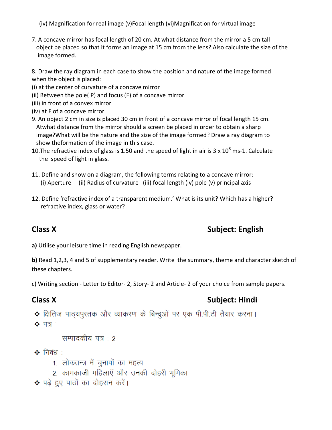(iv) Magnification for real image (v)Focal length (vi)Magnification for virtual image

7. A concave mirror has focal length of 20 cm. At what distance from the mirror a 5 cm tall object be placed so that it forms an image at 15 cm from the lens? Also calculate the size of the image formed.

8. Draw the ray diagram in each case to show the position and nature of the image formed when the object is placed:

- (i) at the center of curvature of a concave mirror
- (ii) Between the pole( P) and focus (F) of a concave mirror
- (iii) in front of a convex mirror
- (iv) at F of a concave mirror
- 9. An object 2 cm in size is placed 30 cm in front of a concave mirror of focal length 15 cm. Atwhat distance from the mirror should a screen be placed in order to obtain a sharp image?What will be the nature and the size of the image formed? Draw a ray diagram to show theformation of the image in this case.

10. The refractive index of glass is 1.50 and the speed of light in air is 3 x 10<sup>8</sup> ms-1. Calculate the speed of light in glass.

- 11. Define and show on a diagram, the following terms relating to a concave mirror: (i) Aperture (ii) Radius of curvature (iii) focal length (iv) pole (v) principal axis
- 12. Define 'refractive index of a transparent medium.' What is its unit? Which has a higher? refractive index, glass or water?

# **Class X** Subject: English

**a)** Utilise your leisure time in reading English newspaper.

**b)** Read 1,2,3, 4 and 5 of supplementary reader. Write the summary, theme and character sketch of these chapters.

c) Writing section - Letter to Editor- 2, Story- 2 and Article- 2 of your choice from sample papers.

# **Class X** Subject: Hindi

• क्षितिज पाठ्यपुस्तक और व्याकरण के बिन्दुओं पर एक पी.पी.टी तैयार करना।  $\clubsuit$  पत्र :

सम्पादकीय पत्र : २

❖ निबंध ∶

- 1. लोकतन्त्र में चुनावों का महत्व
- 2. कामकाजी महिलाएँ और उनकी दोहरी भूमिका

◆ पढ़े हुए पाठों का दोहरान करें।